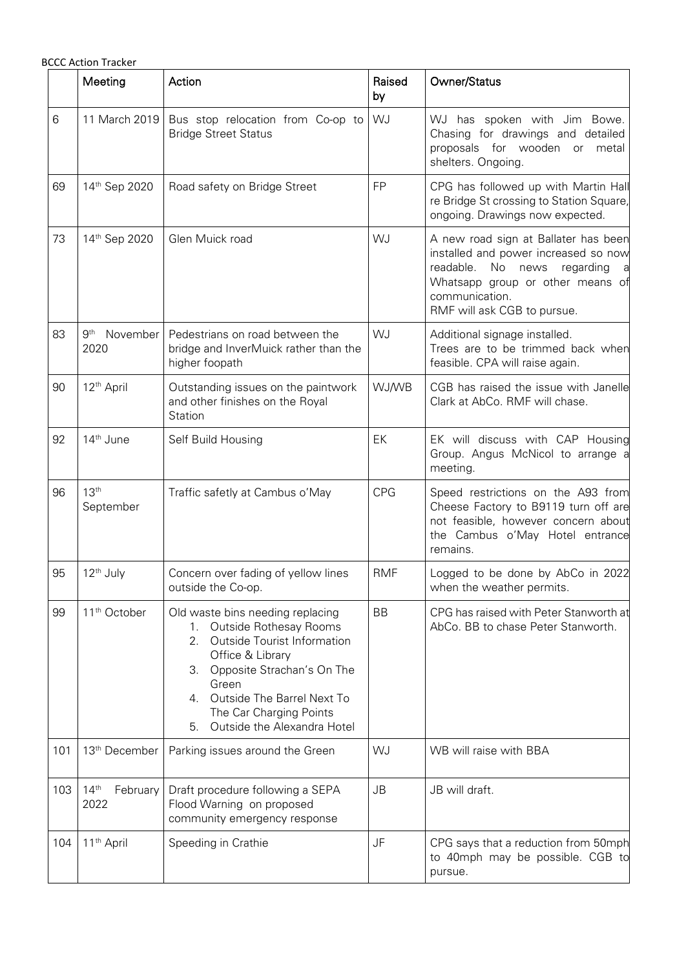|     | <b>BCCC Action Tracker</b>           |                                                                                                                                                                                                                                                                             |              |                                                                                                                                                                                                            |
|-----|--------------------------------------|-----------------------------------------------------------------------------------------------------------------------------------------------------------------------------------------------------------------------------------------------------------------------------|--------------|------------------------------------------------------------------------------------------------------------------------------------------------------------------------------------------------------------|
|     | Meeting                              | Action                                                                                                                                                                                                                                                                      | Raised<br>by | Owner/Status                                                                                                                                                                                               |
| 6   | 11 March 2019                        | Bus stop relocation from Co-op to<br><b>Bridge Street Status</b>                                                                                                                                                                                                            | WJ           | WJ has spoken with Jim Bowe.<br>Chasing for drawings and detailed<br>proposals for wooden or<br>metal<br>shelters. Ongoing.                                                                                |
| 69  | 14th Sep 2020                        | Road safety on Bridge Street                                                                                                                                                                                                                                                | <b>FP</b>    | CPG has followed up with Martin Hall<br>re Bridge St crossing to Station Square,<br>ongoing. Drawings now expected.                                                                                        |
| 73  | 14th Sep 2020                        | Glen Muick road                                                                                                                                                                                                                                                             | WJ           | A new road sign at Ballater has been<br>installed and power increased so now<br>readable.<br>No news regarding<br>a a<br>Whatsapp group or other means of<br>communication.<br>RMF will ask CGB to pursue. |
| 83  | 9 <sup>th</sup><br>November<br>2020  | Pedestrians on road between the<br>bridge and InverMuick rather than the<br>higher foopath                                                                                                                                                                                  | WJ           | Additional signage installed.<br>Trees are to be trimmed back when<br>feasible. CPA will raise again.                                                                                                      |
| 90  | 12 <sup>th</sup> April               | Outstanding issues on the paintwork<br>and other finishes on the Royal<br>Station                                                                                                                                                                                           | <b>WJ/WB</b> | CGB has raised the issue with Janelle<br>Clark at AbCo. RMF will chase.                                                                                                                                    |
| 92  | 14 <sup>th</sup> June                | Self Build Housing                                                                                                                                                                                                                                                          | EK           | EK will discuss with CAP Housing<br>Group. Angus McNicol to arrange a<br>meeting.                                                                                                                          |
| 96  | 13 <sup>th</sup><br>September        | Traffic safetly at Cambus o'May                                                                                                                                                                                                                                             | <b>CPG</b>   | Speed restrictions on the A93 from<br>Cheese Factory to B9119 turn off are<br>not feasible, however concern about<br>the Cambus o'May Hotel entrance<br>remains.                                           |
| 95  | 12 <sup>th</sup> July                | Concern over fading of yellow lines<br>outside the Co-op.                                                                                                                                                                                                                   | <b>RMF</b>   | Logged to be done by AbCo in 2022<br>when the weather permits.                                                                                                                                             |
| 99  | 11 <sup>th</sup> October             | Old waste bins needing replacing<br>1. Outside Rothesay Rooms<br>2.<br><b>Outside Tourist Information</b><br>Office & Library<br>3. Opposite Strachan's On The<br>Green<br>Outside The Barrel Next To<br>4.<br>The Car Charging Points<br>Outside the Alexandra Hotel<br>5. | <b>BB</b>    | CPG has raised with Peter Stanworth at<br>AbCo. BB to chase Peter Stanworth.                                                                                                                               |
| 101 | 13 <sup>th</sup> December            | Parking issues around the Green                                                                                                                                                                                                                                             | WJ           | WB will raise with BBA                                                                                                                                                                                     |
| 103 | 14 <sup>th</sup><br>February<br>2022 | Draft procedure following a SEPA<br>Flood Warning on proposed<br>community emergency response                                                                                                                                                                               | <b>JB</b>    | JB will draft.                                                                                                                                                                                             |
| 104 | 11 <sup>th</sup> April               | Speeding in Crathie                                                                                                                                                                                                                                                         | JF           | CPG says that a reduction from 50mph<br>to 40mph may be possible. CGB to<br>pursue.                                                                                                                        |